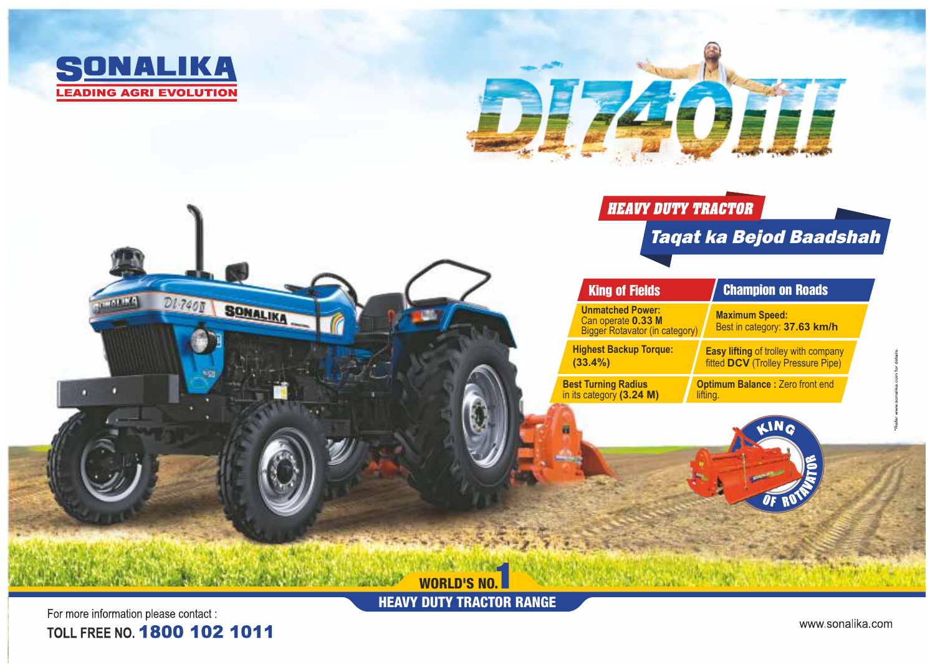





HEAVY DUTY TRACTOR RANGE

For more information please contact : TOLL FREE NO. 1800 102 1011

www.sonalika.com